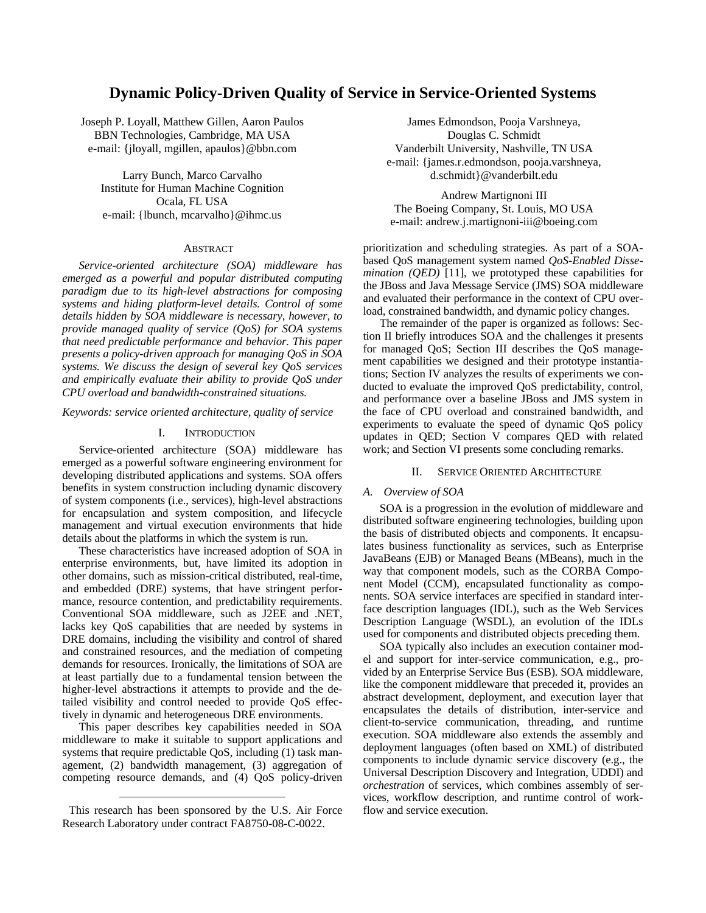# **Dynamic Policy-Driven Quality of Service in Service-Oriented Systems**

Joseph P. Loyall, Matthew Gillen, Aaron Paulos BBN Technologies, Cambridge, MA USA e-mail: {jloyall, mgillen, apaulos}@bbn.com

Larry Bunch, Marco Carvalho Institute for Human Machine Cognition Ocala, FL USA e-mail: {lbunch, mcarvalho}@ihmc.us

#### ABSTRACT

*Service-oriented architecture (SOA) middleware has emerged as a powerful and popular distributed computing paradigm due to its high-level abstractions for composing systems and hiding platform-level details. Control of some details hidden by SOA middleware is necessary, however, to provide managed quality of service (QoS) for SOA systems that need predictable performance and behavior. This paper presents a policy-driven approach for managing QoS in SOA systems. We discuss the design of several key QoS services and empirically evaluate their ability to provide Qo[S](#page-0-0) under CPU overload and bandwidth-constrained situations.*

*Keywords: service oriented architecture, quality of service*

## I. INTRODUCTION

Service-oriented architecture (SOA) middleware has emerged as a powerful software engineering environment for developing distributed applications and systems. SOA offers benefits in system construction including dynamic discovery of system components (i.e., services), high-level abstractions for encapsulation and system composition, and lifecycle management and virtual execution environments that hide details about the platforms in which the system is run.

These characteristics have increased adoption of SOA in enterprise environments, but, have limited its adoption in other domains, such as mission-critical distributed, real-time, and embedded (DRE) systems, that have stringent performance, resource contention, and predictability requirements. Conventional SOA middleware, such as J2EE and .NET, lacks key QoS capabilities that are needed by systems in DRE domains, including the visibility and control of shared and constrained resources, and the mediation of competing demands for resources. Ironically, the limitations of SOA are at least partially due to a fundamental tension between the higher-level abstractions it attempts to provide and the detailed visibility and control needed to provide QoS effectively in dynamic and heterogeneous DRE environments.

This paper describes key capabilities needed in SOA middleware to make it suitable to support applications and systems that require predictable QoS, including (1) task management, (2) bandwidth management, (3) aggregation of competing resource demands, and (4) QoS policy-driven

 $\overline{a}$ 

James Edmondson, Pooja Varshneya, Douglas C. Schmidt Vanderbilt University, Nashville, TN USA e-mail: {james.r.edmondson, pooja.varshneya, d.schmidt}@vanderbilt.edu

Andrew Martignoni III The Boeing Company, St. Louis, MO USA e-mail: andrew.j.martignoni-iii@boeing.com

prioritization and scheduling strategies. As part of a SOAbased QoS management system named *QoS-Enabled Dissemination (QED)* [11], we prototyped these capabilities for the JBoss and Java Message Service (JMS) SOA middleware and evaluated their performance in the context of CPU overload, constrained bandwidth, and dynamic policy changes.

The remainder of the paper is organized as follows: Section II briefly introduces SOA and the challenges it presents for managed QoS; Section III describes the QoS management capabilities we designed and their prototype instantiations; Section IV analyzes the results of experiments we conducted to evaluate the improved QoS predictability, control, and performance over a baseline JBoss and JMS system in the face of CPU overload and constrained bandwidth, and experiments to evaluate the speed of dynamic QoS policy updates in QED; Section V compares QED with related work; and Section VI presents some concluding remarks.

### II. SERVICE ORIENTED ARCHITECTURE

#### *A. Overview of SOA*

SOA is a progression in the evolution of middleware and distributed software engineering technologies, building upon the basis of distributed objects and components. It encapsulates business functionality as services, such as Enterprise JavaBeans (EJB) or Managed Beans (MBeans), much in the way that component models, such as the CORBA Component Model (CCM), encapsulated functionality as components. SOA service interfaces are specified in standard interface description languages (IDL), such as the Web Services Description Language (WSDL), an evolution of the IDLs used for components and distributed objects preceding them.

SOA typically also includes an execution container model and support for inter-service communication, e.g., provided by an Enterprise Service Bus (ESB). SOA middleware, like the component middleware that preceded it, provides an abstract development, deployment, and execution layer that encapsulates the details of distribution, inter-service and client-to-service communication, threading, and runtime execution. SOA middleware also extends the assembly and deployment languages (often based on XML) of distributed components to include dynamic service discovery (e.g., the Universal Description Discovery and Integration, UDDI) and *orchestration* of services, which combines assembly of services, workflow description, and runtime control of workflow and service execution.

<span id="page-0-0"></span>This research has been sponsored by the U.S. Air Force Research Laboratory under contract FA8750-08-C-0022.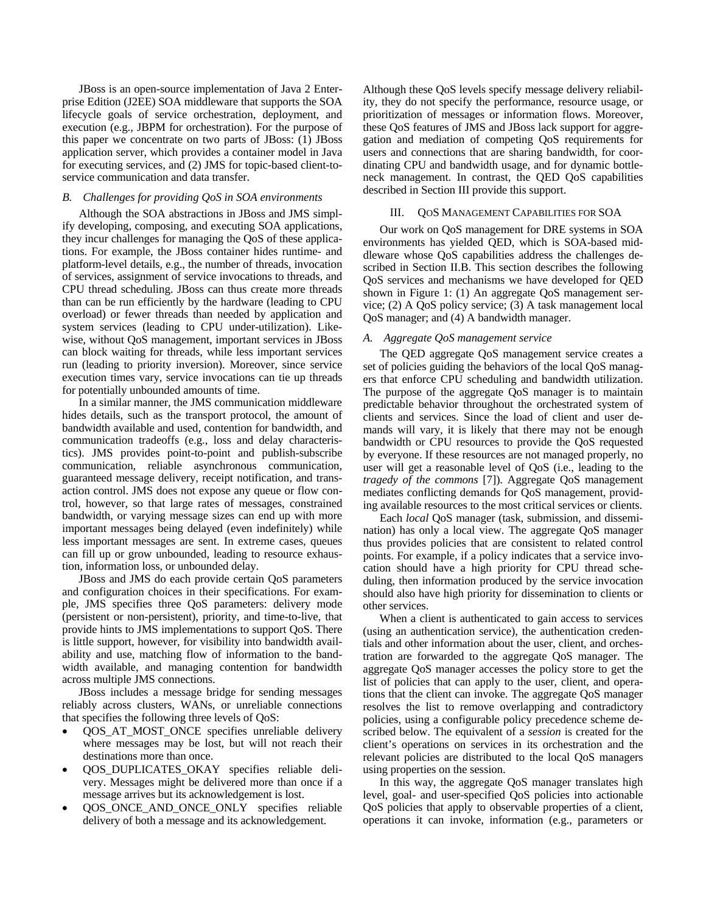JBoss is an open-source implementation of Java 2 Enterprise Edition (J2EE) SOA middleware that supports the SOA lifecycle goals of service orchestration, deployment, and execution (e.g., JBPM for orchestration). For the purpose of this paper we concentrate on two parts of JBoss: (1) JBoss application server, which provides a container model in Java for executing services, and (2) JMS for topic-based client-toservice communication and data transfer.

#### *B. Challenges for providing QoS in SOA environments*

Although the SOA abstractions in JBoss and JMS simplify developing, composing, and executing SOA applications, they incur challenges for managing the QoS of these applications. For example, the JBoss container hides runtime- and platform-level details, e.g., the number of threads, invocation of services, assignment of service invocations to threads, and CPU thread scheduling. JBoss can thus create more threads than can be run efficiently by the hardware (leading to CPU overload) or fewer threads than needed by application and system services (leading to CPU under-utilization). Likewise, without QoS management, important services in JBoss can block waiting for threads, while less important services run (leading to priority inversion). Moreover, since service execution times vary, service invocations can tie up threads for potentially unbounded amounts of time.

In a similar manner, the JMS communication middleware hides details, such as the transport protocol, the amount of bandwidth available and used, contention for bandwidth, and communication tradeoffs (e.g., loss and delay characteristics). JMS provides point-to-point and publish-subscribe communication, reliable asynchronous communication, guaranteed message delivery, receipt notification, and transaction control. JMS does not expose any queue or flow control, however, so that large rates of messages, constrained bandwidth, or varying message sizes can end up with more important messages being delayed (even indefinitely) while less important messages are sent. In extreme cases, queues can fill up or grow unbounded, leading to resource exhaustion, information loss, or unbounded delay.

JBoss and JMS do each provide certain QoS parameters and configuration choices in their specifications. For example, JMS specifies three QoS parameters: delivery mode (persistent or non-persistent), priority, and time-to-live, that provide hints to JMS implementations to support QoS. There is little support, however, for visibility into bandwidth availability and use, matching flow of information to the bandwidth available, and managing contention for bandwidth across multiple JMS connections.

JBoss includes a message bridge for sending messages reliably across clusters, WANs, or unreliable connections that specifies the following three levels of QoS:

- QOS\_AT\_MOST\_ONCE specifies unreliable delivery where messages may be lost, but will not reach their destinations more than once.
- QOS\_DUPLICATES\_OKAY specifies reliable delivery. Messages might be delivered more than once if a message arrives but its acknowledgement is lost.
- QOS\_ONCE\_AND\_ONCE\_ONLY specifies reliable delivery of both a message and its acknowledgement.

Although these QoS levels specify message delivery reliability, they do not specify the performance, resource usage, or prioritization of messages or information flows. Moreover, these QoS features of JMS and JBoss lack support for aggregation and mediation of competing QoS requirements for users and connections that are sharing bandwidth, for coordinating CPU and bandwidth usage, and for dynamic bottleneck management. In contrast, the QED QoS capabilities described in Section III provide this support.

#### III. QOS MANAGEMENT CAPABILITIES FOR SOA

Our work on QoS management for DRE systems in SOA environments has yielded QED, which is SOA-based middleware whose QoS capabilities address the challenges described in Section II.B. This section describes the following QoS services and mechanisms we have developed for QED shown in Figure 1: (1) An aggregate QoS management service; (2) A QoS policy service; (3) A task management local QoS manager; and (4) A bandwidth manager.

## *A. Aggregate QoS management service*

The QED aggregate QoS management service creates a set of policies guiding the behaviors of the local QoS managers that enforce CPU scheduling and bandwidth utilization. The purpose of the aggregate QoS manager is to maintain predictable behavior throughout the orchestrated system of clients and services. Since the load of client and user demands will vary, it is likely that there may not be enough bandwidth or CPU resources to provide the QoS requested by everyone. If these resources are not managed properly, no user will get a reasonable level of QoS (i.e., leading to the *tragedy of the commons* [\[7\]\)](#page-7-0). Aggregate QoS management mediates conflicting demands for QoS management, providing available resources to the most critical services or clients.

Each *local* QoS manager (task, submission, and dissemination) has only a local view. The aggregate QoS manager thus provides policies that are consistent to related control points. For example, if a policy indicates that a service invocation should have a high priority for CPU thread scheduling, then information produced by the service invocation should also have high priority for dissemination to clients or other services.

When a client is authenticated to gain access to services (using an authentication service), the authentication credentials and other information about the user, client, and orchestration are forwarded to the aggregate QoS manager. The aggregate QoS manager accesses the policy store to get the list of policies that can apply to the user, client, and operations that the client can invoke. The aggregate QoS manager resolves the list to remove overlapping and contradictory policies, using a configurable policy precedence scheme described below. The equivalent of a *session* is created for the client's operations on services in its orchestration and the relevant policies are distributed to the local QoS managers using properties on the session.

In this way, the aggregate QoS manager translates high level, goal- and user-specified QoS policies into actionable QoS policies that apply to observable properties of a client, operations it can invoke, information (e.g., parameters or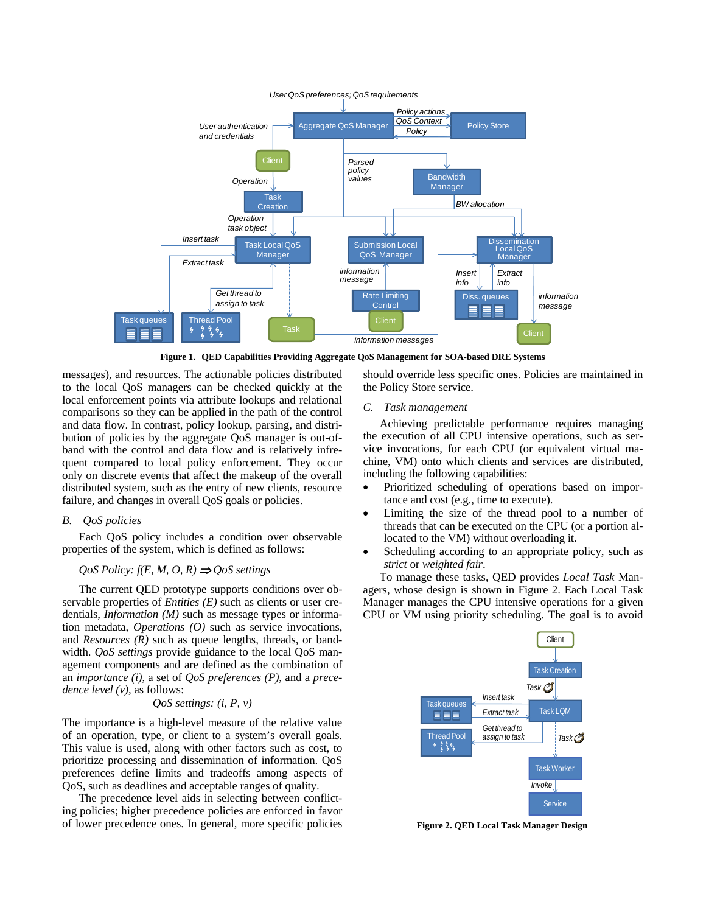

**Figure 1. QED Capabilities Providing Aggregate QoS Management for SOA-based DRE Systems**

messages), and resources. The actionable policies distributed to the local QoS managers can be checked quickly at the local enforcement points via attribute lookups and relational comparisons so they can be applied in the path of the control and data flow. In contrast, policy lookup, parsing, and distribution of policies by the aggregate QoS manager is out-ofband with the control and data flow and is relatively infrequent compared to local policy enforcement. They occur only on discrete events that affect the makeup of the overall distributed system, such as the entry of new clients, resource failure, and changes in overall QoS goals or policies.

## *B. QoS policies*

Each QoS policy includes a condition over observable properties of the system, which is defined as follows:

## $QoS$  *Policy:*  $f(E, M, O, R) \implies QoS$  *settings*

The current QED prototype supports conditions over observable properties of *Entities (E)* such as clients or user credentials, *Information (M)* such as message types or information metadata, *Operations (O)* such as service invocations, and *Resources (R)* such as queue lengths, threads, or bandwidth. *QoS settings* provide guidance to the local QoS management components and are defined as the combination of an *importance (i)*, a set of *QoS preferences (P)*, and a *precedence level (v)*, as follows:

## *QoS settings: (i, P, v)*

The importance is a high-level measure of the relative value of an operation, type, or client to a system's overall goals. This value is used, along with other factors such as cost, to prioritize processing and dissemination of information. QoS preferences define limits and tradeoffs among aspects of QoS, such as deadlines and acceptable ranges of quality.

The precedence level aids in selecting between conflicting policies; higher precedence policies are enforced in favor of lower precedence ones. In general, more specific policies should override less specific ones. Policies are maintained in the Policy Store service.

## *C. Task management*

Achieving predictable performance requires managing the execution of all CPU intensive operations, such as service invocations, for each CPU (or equivalent virtual machine, VM) onto which clients and services are distributed, including the following capabilities:

- Prioritized scheduling of operations based on importance and cost (e.g., time to execute).
- Limiting the size of the thread pool to a number of threads that can be executed on the CPU (or a portion allocated to the VM) without overloading it.
- Scheduling according to an appropriate policy, such as *strict* or *weighted fair*.

To manage these tasks, QED provides *Local Task* Managers, whose design is shown in Figure 2. Each Local Task Manager manages the CPU intensive operations for a given CPU or VM using priority scheduling. The goal is to avoid



**Figure 2. QED Local Task Manager Design**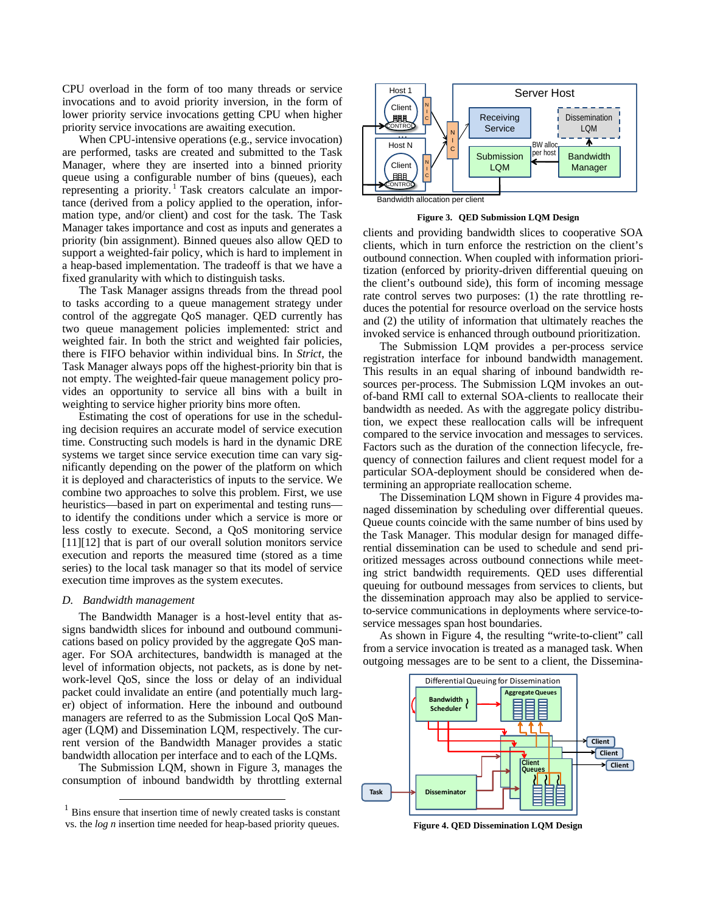CPU overload in the form of too many threads or service invocations and to avoid priority inversion, in the form of lower priority service invocations getting CPU when higher priority service invocations are awaiting execution.

When CPU-intensive operations (e.g., service invocation) are performed, tasks are created and submitted to the Task Manager, where they are inserted into a binned priority queue using a configurable number of bins (queues), each representing a priority.<sup>[1](#page-3-0)</sup> Task creators calculate an importance (derived from a policy applied to the operation, information type, and/or client) and cost for the task. The Task Manager takes importance and cost as inputs and generates a priority (bin assignment). Binned queues also allow QED to support a weighted-fair policy, which is hard to implement in a heap-based implementation. The tradeoff is that we have a fixed granularity with which to distinguish tasks.

The Task Manager assigns threads from the thread pool to tasks according to a queue management strategy under control of the aggregate QoS manager. QED currently has two queue management policies implemented: strict and weighted fair. In both the strict and weighted fair policies, there is FIFO behavior within individual bins. In *Strict*, the Task Manager always pops off the highest-priority bin that is not empty. The weighted-fair queue management policy provides an opportunity to service all bins with a built in weighting to service higher priority bins more often.

Estimating the cost of operations for use in the scheduling decision requires an accurate model of service execution time. Constructing such models is hard in the dynamic DRE systems we target since service execution time can vary significantly depending on the power of the platform on which it is deployed and characteristics of inputs to the service. We combine two approaches to solve this problem. First, we use heuristics—based in part on experimental and testing runs to identify the conditions under which a service is more or less costly to execute. Second, a QoS monitoring service [\[11\]\[12\]](#page-7-1) that is part of our overall solution monitors service execution and reports the measured time (stored as a time series) to the local task manager so that its model of service execution time improves as the system executes.

## *D. Bandwidth management*

The Bandwidth Manager is a host-level entity that assigns bandwidth slices for inbound and outbound communications based on policy provided by the aggregate QoS manager. For SOA architectures, bandwidth is managed at the level of information objects, not packets, as is done by network-level QoS, since the loss or delay of an individual packet could invalidate an entire (and potentially much larger) object of information. Here the inbound and outbound managers are referred to as the Submission Local QoS Manager (LQM) and Dissemination LQM, respectively. The current version of the Bandwidth Manager provides a static bandwidth allocation per interface and to each of the LQMs.

The Submission LQM, shown in Figure 3, manages the consumption of inbound bandwidth by throttling external



**Figure 3. QED Submission LQM Design**

clients and providing bandwidth slices to cooperative SOA clients, which in turn enforce the restriction on the client's outbound connection. When coupled with information prioritization (enforced by priority-driven differential queuing on the client's outbound side), this form of incoming message rate control serves two purposes: (1) the rate throttling reduces the potential for resource overload on the service hosts and (2) the utility of information that ultimately reaches the invoked service is enhanced through outbound prioritization.

The Submission LQM provides a per-process service registration interface for inbound bandwidth management. This results in an equal sharing of inbound bandwidth resources per-process. The Submission LQM invokes an outof-band RMI call to external SOA-clients to reallocate their bandwidth as needed. As with the aggregate policy distribution, we expect these reallocation calls will be infrequent compared to the service invocation and messages to services. Factors such as the duration of the connection lifecycle, frequency of connection failures and client request model for a particular SOA-deployment should be considered when determining an appropriate reallocation scheme.

The Dissemination LQM shown in Figure 4 provides managed dissemination by scheduling over differential queues. Queue counts coincide with the same number of bins used by the Task Manager. This modular design for managed differential dissemination can be used to schedule and send prioritized messages across outbound connections while meeting strict bandwidth requirements. QED uses differential queuing for outbound messages from services to clients, but the dissemination approach may also be applied to serviceto-service communications in deployments where service-toservice messages span host boundaries.

As shown in Figure 4, the resulting "write-to-client" call from a service invocation is treated as a managed task. When outgoing messages are to be sent to a client, the Dissemina-



**Figure 4. QED Dissemination LQM Design**

<span id="page-3-0"></span> $<sup>1</sup>$  Bins ensure that insertion time of newly created tasks is constant</sup> vs. the *log n* insertion time needed for heap-based priority queues.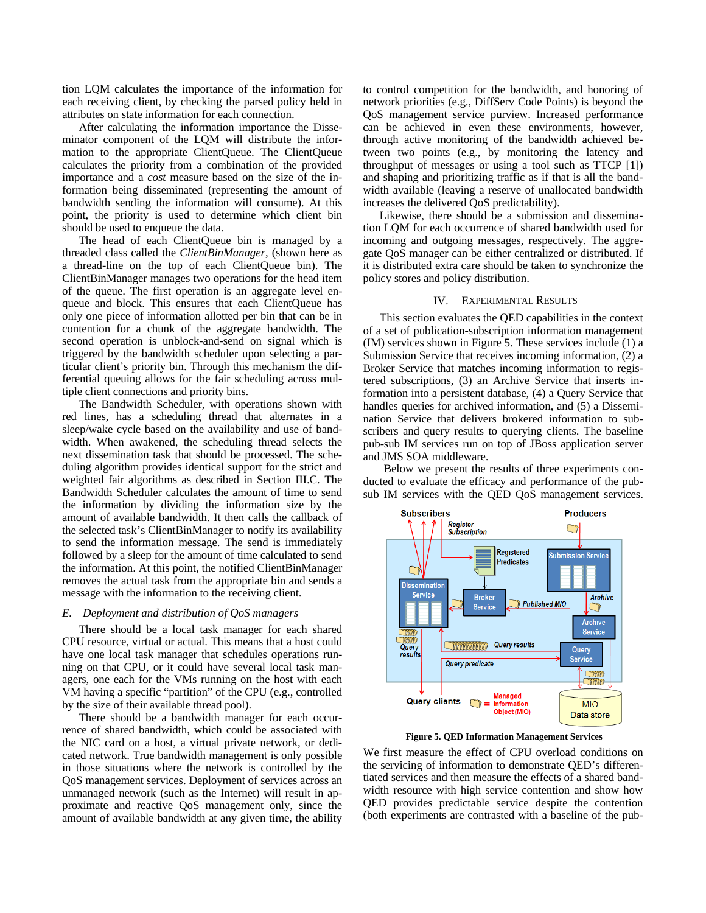tion LQM calculates the importance of the information for each receiving client, by checking the parsed policy held in attributes on state information for each connection.

After calculating the information importance the Disseminator component of the LQM will distribute the information to the appropriate ClientQueue. The ClientQueue calculates the priority from a combination of the provided importance and a *cost* measure based on the size of the information being disseminated (representing the amount of bandwidth sending the information will consume). At this point, the priority is used to determine which client bin should be used to enqueue the data.

The head of each ClientQueue bin is managed by a threaded class called the *ClientBinManager*, (shown here as a thread-line on the top of each ClientQueue bin). The ClientBinManager manages two operations for the head item of the queue. The first operation is an aggregate level enqueue and block. This ensures that each ClientQueue has only one piece of information allotted per bin that can be in contention for a chunk of the aggregate bandwidth. The second operation is unblock-and-send on signal which is triggered by the bandwidth scheduler upon selecting a particular client's priority bin. Through this mechanism the differential queuing allows for the fair scheduling across multiple client connections and priority bins.

The Bandwidth Scheduler, with operations shown with red lines, has a scheduling thread that alternates in a sleep/wake cycle based on the availability and use of bandwidth. When awakened, the scheduling thread selects the next dissemination task that should be processed. The scheduling algorithm provides identical support for the strict and weighted fair algorithms as described in Section III.C. The Bandwidth Scheduler calculates the amount of time to send the information by dividing the information size by the amount of available bandwidth. It then calls the callback of the selected task's ClientBinManager to notify its availability to send the information message. The send is immediately followed by a sleep for the amount of time calculated to send the information. At this point, the notified ClientBinManager removes the actual task from the appropriate bin and sends a message with the information to the receiving client.

### *E. Deployment and distribution of QoS managers*

There should be a local task manager for each shared CPU resource, virtual or actual. This means that a host could have one local task manager that schedules operations running on that CPU, or it could have several local task managers, one each for the VMs running on the host with each VM having a specific "partition" of the CPU (e.g., controlled by the size of their available thread pool).

There should be a bandwidth manager for each occurrence of shared bandwidth, which could be associated with the NIC card on a host, a virtual private network, or dedicated network. True bandwidth management is only possible in those situations where the network is controlled by the QoS management services. Deployment of services across an unmanaged network (such as the Internet) will result in approximate and reactive QoS management only, since the amount of available bandwidth at any given time, the ability to control competition for the bandwidth, and honoring of network priorities (e.g., DiffServ Code Points) is beyond the QoS management service purview. Increased performance can be achieved in even these environments, however, through active monitoring of the bandwidth achieved between two points (e.g., by monitoring the latency and throughput of messages or using a tool such as TTCP [\[1\]\)](#page-7-2) and shaping and prioritizing traffic as if that is all the bandwidth available (leaving a reserve of unallocated bandwidth increases the delivered QoS predictability).

Likewise, there should be a submission and dissemination LQM for each occurrence of shared bandwidth used for incoming and outgoing messages, respectively. The aggregate QoS manager can be either centralized or distributed. If it is distributed extra care should be taken to synchronize the policy stores and policy distribution.

#### IV. EXPERIMENTAL RESULTS

This section evaluates the QED capabilities in the context of a set of publication-subscription information management (IM) services shown in Figure 5. These services include (1) a Submission Service that receives incoming information, (2) a Broker Service that matches incoming information to registered subscriptions, (3) an Archive Service that inserts information into a persistent database, (4) a Query Service that handles queries for archived information, and (5) a Dissemination Service that delivers brokered information to subscribers and query results to querying clients. The baseline pub-sub IM services run on top of JBoss application server and JMS SOA middleware.

Below we present the results of three experiments conducted to evaluate the efficacy and performance of the pubsub IM services with the QED QoS management services.



**Figure 5. QED Information Management Services**

 the servicing of information to demonstrate QED's differen-We first measure the effect of CPU overload conditions on tiated services and then measure the effects of a shared bandwidth resource with high service contention and show how QED provides predictable service despite the contention (both experiments are contrasted with a baseline of the pub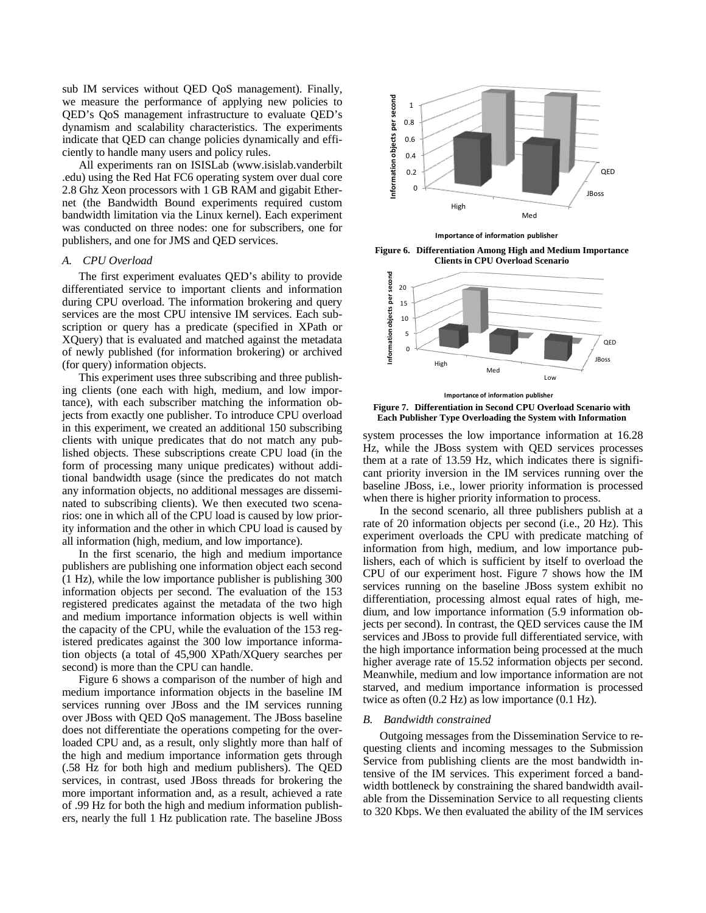sub IM services without QED QoS management). Finally, we measure the performance of applying new policies to QED's QoS management infrastructure to evaluate QED's dynamism and scalability characteristics. The experiments indicate that QED can change policies dynamically and efficiently to handle many users and policy rules.

All experiments ran on ISISLab (www.isislab.vanderbilt .edu) using the Red Hat FC6 operating system over dual core 2.8 Ghz Xeon processors with 1 GB RAM and gigabit Ethernet (the Bandwidth Bound experiments required custom bandwidth limitation via the Linux kernel). Each experiment was conducted on three nodes: one for subscribers, one for publishers, and one for JMS and QED services.

## *A. CPU Overload*

The first experiment evaluates QED's ability to provide differentiated service to important clients and information during CPU overload. The information brokering and query services are the most CPU intensive IM services. Each subscription or query has a predicate (specified in XPath or XQuery) that is evaluated and matched against the metadata of newly published (for information brokering) or archived (for query) information objects.

This experiment uses three subscribing and three publishing clients (one each with high, medium, and low importance), with each subscriber matching the information objects from exactly one publisher. To introduce CPU overload in this experiment, we created an additional 150 subscribing clients with unique predicates that do not match any published objects. These subscriptions create CPU load (in the form of processing many unique predicates) without additional bandwidth usage (since the predicates do not match any information objects, no additional messages are disseminated to subscribing clients). We then executed two scenarios: one in which all of the CPU load is caused by low priority information and the other in which CPU load is caused by all information (high, medium, and low importance).

In the first scenario, the high and medium importance publishers are publishing one information object each second (1 Hz), while the low importance publisher is publishing 300 information objects per second. The evaluation of the 153 registered predicates against the metadata of the two high and medium importance information objects is well within the capacity of the CPU, while the evaluation of the 153 registered predicates against the 300 low importance information objects (a total of 45,900 XPath/XQuery searches per second) is more than the CPU can handle.

Figure 6 shows a comparison of the number of high and medium importance information objects in the baseline IM services running over JBoss and the IM services running over JBoss with QED QoS management. The JBoss baseline does not differentiate the operations competing for the overloaded CPU and, as a result, only slightly more than half of the high and medium importance information gets through (.58 Hz for both high and medium publishers). The QED services, in contrast, used JBoss threads for brokering the more important information and, as a result, achieved a rate of .99 Hz for both the high and medium information publishers, nearly the full 1 Hz publication rate. The baseline JBoss



**Importance of information publisher**

**Figure 6. Differentiation Among High and Medium Importance Clients in CPU Overload Scenario**





system processes the low importance information at 16.28 Hz, while the JBoss system with QED services processes them at a rate of 13.59 Hz, which indicates there is significant priority inversion in the IM services running over the baseline JBoss, i.e., lower priority information is processed when there is higher priority information to process.

In the second scenario, all three publishers publish at a rate of 20 information objects per second (i.e., 20 Hz). This experiment overloads the CPU with predicate matching of information from high, medium, and low importance publishers, each of which is sufficient by itself to overload the CPU of our experiment host. Figure 7 shows how the IM services running on the baseline JBoss system exhibit no differentiation, processing almost equal rates of high, medium, and low importance information (5.9 information objects per second). In contrast, the QED services cause the IM services and JBoss to provide full differentiated service, with the high importance information being processed at the much higher average rate of 15.52 information objects per second. Meanwhile, medium and low importance information are not starved, and medium importance information is processed twice as often (0.2 Hz) as low importance (0.1 Hz).

#### *B. Bandwidth constrained*

Outgoing messages from the Dissemination Service to requesting clients and incoming messages to the Submission Service from publishing clients are the most bandwidth intensive of the IM services. This experiment forced a bandwidth bottleneck by constraining the shared bandwidth available from the Dissemination Service to all requesting clients to 320 Kbps. We then evaluated the ability of the IM services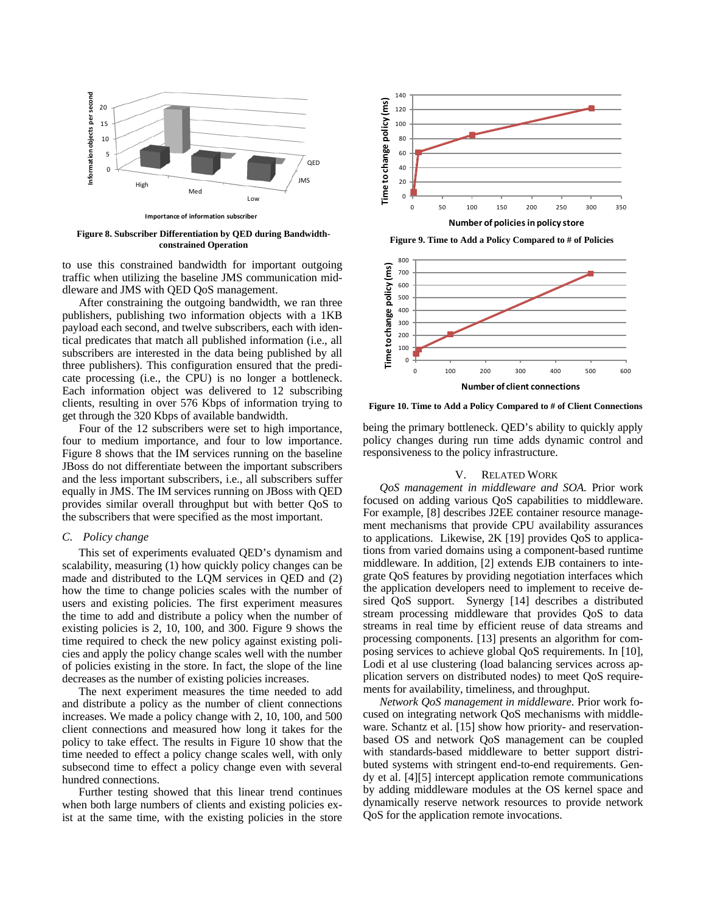

**Figure 8. Subscriber Differentiation by QED during Bandwidthconstrained Operation**

to use this constrained bandwidth for important outgoing traffic when utilizing the baseline JMS communication middleware and JMS with QED QoS management.

After constraining the outgoing bandwidth, we ran three publishers, publishing two information objects with a 1KB payload each second, and twelve subscribers, each with identical predicates that match all published information (i.e., all subscribers are interested in the data being published by all three publishers). This configuration ensured that the predicate processing (i.e., the CPU) is no longer a bottleneck. Each information object was delivered to 12 subscribing clients, resulting in over 576 Kbps of information trying to get through the 320 Kbps of available bandwidth.

Four of the 12 subscribers were set to high importance, four to medium importance, and four to low importance. Figure 8 shows that the IM services running on the baseline JBoss do not differentiate between the important subscribers and the less important subscribers, i.e., all subscribers suffer equally in JMS. The IM services running on JBoss with QED provides similar overall throughput but with better QoS to the subscribers that were specified as the most important.

## *C. Policy change*

This set of experiments evaluated QED's dynamism and scalability, measuring (1) how quickly policy changes can be made and distributed to the LQM services in QED and (2) how the time to change policies scales with the number of users and existing policies. The first experiment measures the time to add and distribute a policy when the number of existing policies is 2, 10, 100, and 300. Figure 9 shows the time required to check the new policy against existing policies and apply the policy change scales well with the number of policies existing in the store. In fact, the slope of the line decreases as the number of existing policies increases.

The next experiment measures the time needed to add and distribute a policy as the number of client connections increases. We made a policy change with 2, 10, 100, and 500 client connections and measured how long it takes for the policy to take effect. The results in Figure 10 show that the time needed to effect a policy change scales well, with only subsecond time to effect a policy change even with several hundred connections.

Further testing showed that this linear trend continues when both large numbers of clients and existing policies exist at the same time, with the existing policies in the store



**Figure 9. Time to Add a Policy Compared to # of Policies**



**Figure 10. Time to Add a Policy Compared to # of Client Connections**

being the primary bottleneck. QED's ability to quickly apply policy changes during run time adds dynamic control and responsiveness to the policy infrastructure.

#### V. RELATED WORK

*QoS management in middleware and SOA.* Prior work focused on adding various QoS capabilities to middleware. For example, [\[8\]](#page-7-3) describes J2EE container resource management mechanisms that provide CPU availability assurances to applications. Likewise, 2K [\[19\]](#page-7-4) provides QoS to applications from varied domains using a component-based runtime middleware. In addition, [\[2\]](#page-7-5) extends EJB containers to integrate QoS features by providing negotiation interfaces which the application developers need to implement to receive desired QoS support. Synergy [\[14\]](#page-7-6) describes a distributed stream processing middleware that provides QoS to data streams in real time by efficient reuse of data streams and processing components. [\[13\]](#page-7-7) presents an algorithm for composing services to achieve global QoS requirements. In [\[10\],](#page-7-8)  Lodi et al use clustering (load balancing services across application servers on distributed nodes) to meet QoS requirements for availability, timeliness, and throughput.

*Network QoS management in middleware.* Prior work focused on integrating network QoS mechanisms with middle-ware. Schantz et al. [\[15\]](#page-7-9) show how priority- and reservationbased OS and network QoS management can be coupled with standards-based middleware to better support distributed systems with stringent end-to-end requirements. Gendy et al. [\[4\]\[5\]](#page-7-10) intercept application remote communications by adding middleware modules at the OS kernel space and dynamically reserve network resources to provide network QoS for the application remote invocations.